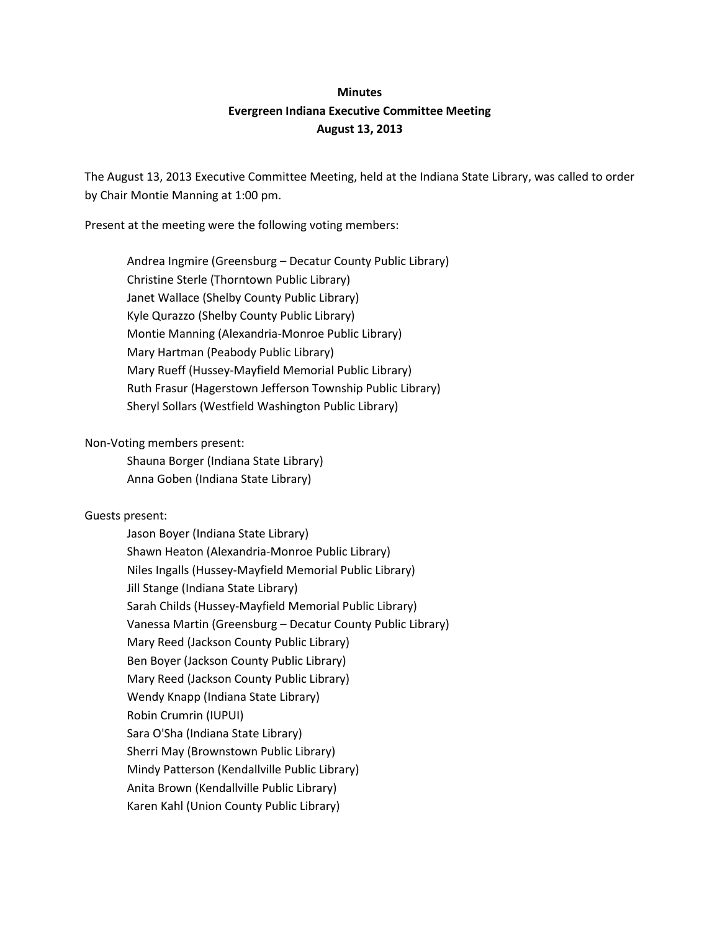# **Minutes Evergreen Indiana Executive Committee Meeting August 13, 2013**

The August 13, 2013 Executive Committee Meeting, held at the Indiana State Library, was called to order by Chair Montie Manning at 1:00 pm.

Present at the meeting were the following voting members:

Andrea Ingmire (Greensburg – Decatur County Public Library) Christine Sterle (Thorntown Public Library) Janet Wallace (Shelby County Public Library) Kyle Qurazzo (Shelby County Public Library) Montie Manning (Alexandria-Monroe Public Library) Mary Hartman (Peabody Public Library) Mary Rueff (Hussey-Mayfield Memorial Public Library) Ruth Frasur (Hagerstown Jefferson Township Public Library) Sheryl Sollars (Westfield Washington Public Library)

#### Non-Voting members present:

Shauna Borger (Indiana State Library) Anna Goben (Indiana State Library)

## Guests present:

Jason Boyer (Indiana State Library) Shawn Heaton (Alexandria-Monroe Public Library) Niles Ingalls (Hussey-Mayfield Memorial Public Library) Jill Stange (Indiana State Library) Sarah Childs (Hussey-Mayfield Memorial Public Library) Vanessa Martin (Greensburg – Decatur County Public Library) Mary Reed (Jackson County Public Library) Ben Boyer (Jackson County Public Library) Mary Reed (Jackson County Public Library) Wendy Knapp (Indiana State Library) Robin Crumrin (IUPUI) Sara O'Sha (Indiana State Library) Sherri May (Brownstown Public Library) Mindy Patterson (Kendallville Public Library) Anita Brown (Kendallville Public Library) Karen Kahl (Union County Public Library)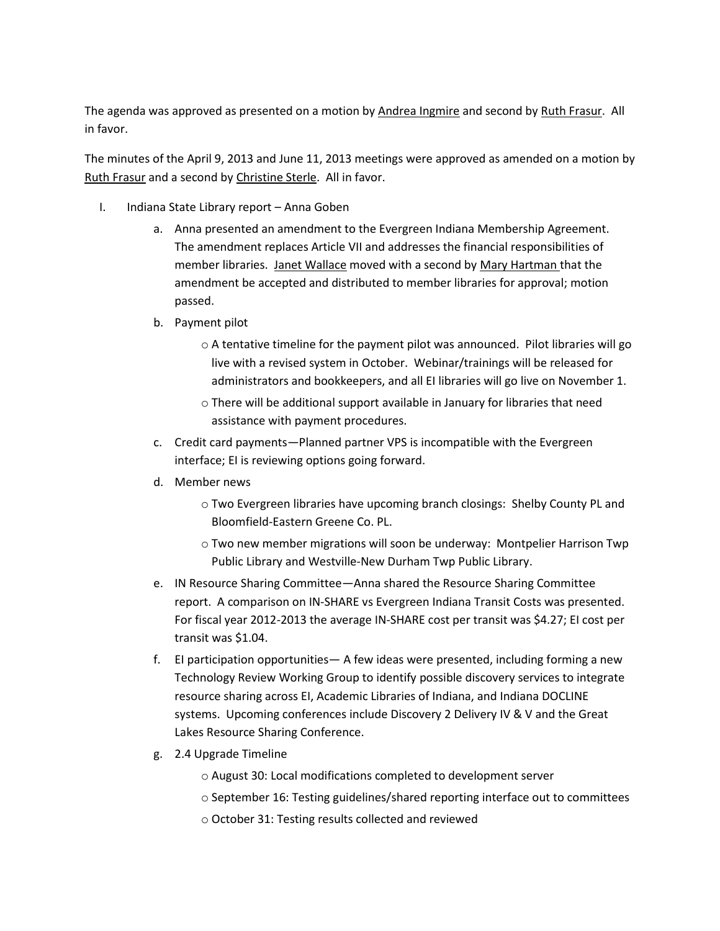The agenda was approved as presented on a motion by Andrea Ingmire and second by Ruth Frasur. All in favor.

The minutes of the April 9, 2013 and June 11, 2013 meetings were approved as amended on a motion by Ruth Frasur and a second by Christine Sterle. All in favor.

- I. Indiana State Library report Anna Goben
	- a. Anna presented an amendment to the Evergreen Indiana Membership Agreement. The amendment replaces Article VII and addresses the financial responsibilities of member libraries. Janet Wallace moved with a second by Mary Hartman that the amendment be accepted and distributed to member libraries for approval; motion passed.
	- b. Payment pilot
		- o A tentative timeline for the payment pilot was announced. Pilot libraries will go live with a revised system in October. Webinar/trainings will be released for administrators and bookkeepers, and all EI libraries will go live on November 1.
		- o There will be additional support available in January for libraries that need assistance with payment procedures.
	- c. Credit card payments—Planned partner VPS is incompatible with the Evergreen interface; EI is reviewing options going forward.
	- d. Member news
		- o Two Evergreen libraries have upcoming branch closings: Shelby County PL and Bloomfield-Eastern Greene Co. PL.
		- o Two new member migrations will soon be underway: Montpelier Harrison Twp Public Library and Westville-New Durham Twp Public Library.
	- e. IN Resource Sharing Committee—Anna shared the Resource Sharing Committee report. A comparison on IN-SHARE vs Evergreen Indiana Transit Costs was presented. For fiscal year 2012-2013 the average IN-SHARE cost per transit was \$4.27; EI cost per transit was \$1.04.
	- f. EI participation opportunities— A few ideas were presented, including forming a new Technology Review Working Group to identify possible discovery services to integrate resource sharing across EI, Academic Libraries of Indiana, and Indiana DOCLINE systems. Upcoming conferences include Discovery 2 Delivery IV & V and the Great Lakes Resource Sharing Conference.
	- g. 2.4 Upgrade Timeline
		- o August 30: Local modifications completed to development server
		- $\circ$  September 16: Testing guidelines/shared reporting interface out to committees
		- o October 31: Testing results collected and reviewed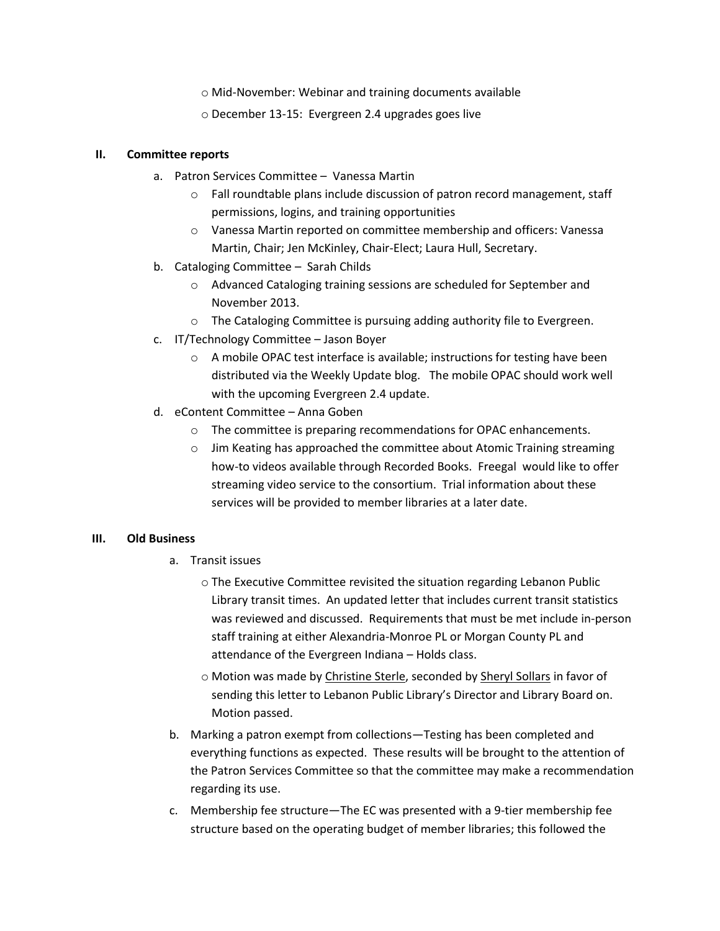- o Mid-November: Webinar and training documents available
- o December 13-15: Evergreen 2.4 upgrades goes live

### **II. Committee reports**

- a. Patron Services Committee Vanessa Martin
	- o Fall roundtable plans include discussion of patron record management, staff permissions, logins, and training opportunities
	- o Vanessa Martin reported on committee membership and officers: Vanessa Martin, Chair; Jen McKinley, Chair-Elect; Laura Hull, Secretary.
- b. Cataloging Committee Sarah Childs
	- o Advanced Cataloging training sessions are scheduled for September and November 2013.
	- o The Cataloging Committee is pursuing adding authority file to Evergreen.
- c. IT/Technology Committee Jason Boyer
	- o A mobile OPAC test interface is available; instructions for testing have been distributed via the Weekly Update blog. The mobile OPAC should work well with the upcoming Evergreen 2.4 update.
- d. eContent Committee Anna Goben
	- o The committee is preparing recommendations for OPAC enhancements.
	- o Jim Keating has approached the committee about Atomic Training streaming how-to videos available through Recorded Books. Freegal would like to offer streaming video service to the consortium. Trial information about these services will be provided to member libraries at a later date.

# **III. Old Business**

- a. Transit issues
	- o The Executive Committee revisited the situation regarding Lebanon Public Library transit times. An updated letter that includes current transit statistics was reviewed and discussed. Requirements that must be met include in-person staff training at either Alexandria-Monroe PL or Morgan County PL and attendance of the Evergreen Indiana – Holds class.
	- o Motion was made by Christine Sterle, seconded by Sheryl Sollars in favor of sending this letter to Lebanon Public Library's Director and Library Board on. Motion passed.
- b. Marking a patron exempt from collections—Testing has been completed and everything functions as expected. These results will be brought to the attention of the Patron Services Committee so that the committee may make a recommendation regarding its use.
- c. Membership fee structure—The EC was presented with a 9-tier membership fee structure based on the operating budget of member libraries; this followed the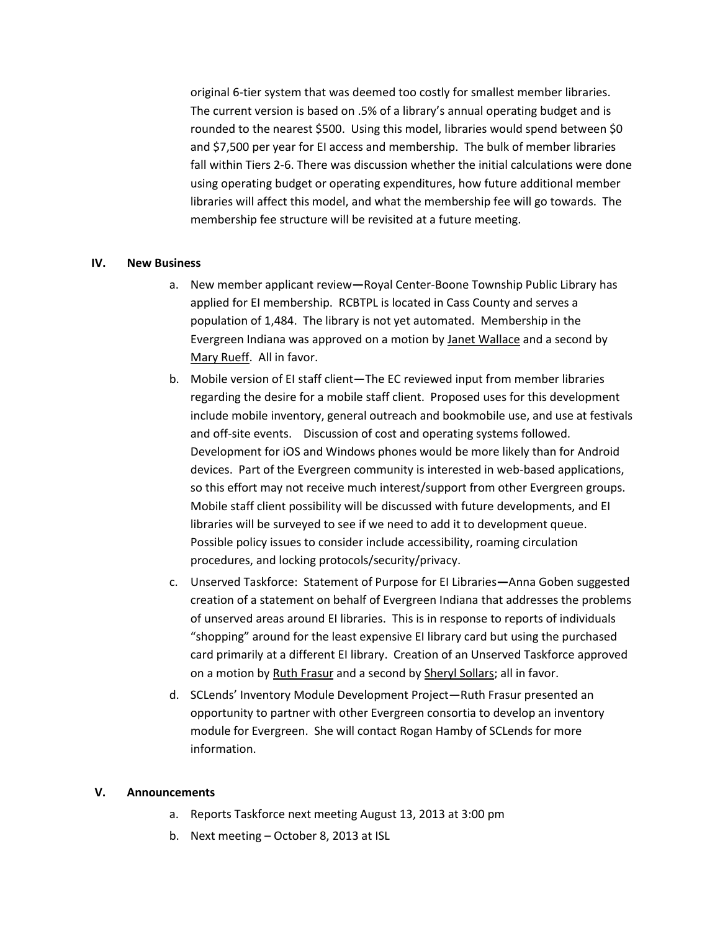original 6-tier system that was deemed too costly for smallest member libraries. The current version is based on .5% of a library's annual operating budget and is rounded to the nearest \$500. Using this model, libraries would spend between \$0 and \$7,500 per year for EI access and membership. The bulk of member libraries fall within Tiers 2-6. There was discussion whether the initial calculations were done using operating budget or operating expenditures, how future additional member libraries will affect this model, and what the membership fee will go towards. The membership fee structure will be revisited at a future meeting.

#### **IV. New Business**

- a. New member applicant review**—**Royal Center-Boone Township Public Library has applied for EI membership. RCBTPL is located in Cass County and serves a population of 1,484. The library is not yet automated. Membership in the Evergreen Indiana was approved on a motion by Janet Wallace and a second by Mary Rueff. All in favor.
- b. Mobile version of EI staff client—The EC reviewed input from member libraries regarding the desire for a mobile staff client. Proposed uses for this development include mobile inventory, general outreach and bookmobile use, and use at festivals and off-site events. Discussion of cost and operating systems followed. Development for iOS and Windows phones would be more likely than for Android devices. Part of the Evergreen community is interested in web-based applications, so this effort may not receive much interest/support from other Evergreen groups. Mobile staff client possibility will be discussed with future developments, and EI libraries will be surveyed to see if we need to add it to development queue. Possible policy issues to consider include accessibility, roaming circulation procedures, and locking protocols/security/privacy.
- c. Unserved Taskforce: Statement of Purpose for EI Libraries**—**Anna Goben suggested creation of a statement on behalf of Evergreen Indiana that addresses the problems of unserved areas around EI libraries. This is in response to reports of individuals "shopping" around for the least expensive EI library card but using the purchased card primarily at a different EI library. Creation of an Unserved Taskforce approved on a motion by Ruth Frasur and a second by Sheryl Sollars; all in favor.
- d. SCLends' Inventory Module Development Project—Ruth Frasur presented an opportunity to partner with other Evergreen consortia to develop an inventory module for Evergreen. She will contact Rogan Hamby of SCLends for more information.

#### **V. Announcements**

- a. Reports Taskforce next meeting August 13, 2013 at 3:00 pm
- b. Next meeting October 8, 2013 at ISL